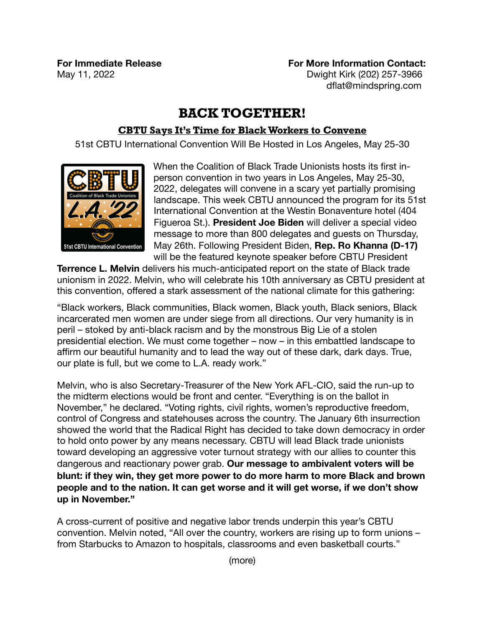**For Immediate Release Example 20 For More Information Contact: For More Information Contact:** May 11, 2022 **May 11, 2022** *May 11, 2022 May 11, 2022 May 11, 2022* **<b>***May 11, 2022 May 11, 2022 May 11, 2022 May 11, 2022 May 11, 2022* dflat@mindspring.com

## **BACK TOGETHER!**

## **CBTU Says It's Time for Black Workers to Convene**

51st CBTU International Convention Will Be Hosted in Los Angeles, May 25-30



When the Coalition of Black Trade Unionists hosts its first inperson convention in two years in Los Angeles, May 25-30, 2022, delegates will convene in a scary yet partially promising landscape. This week CBTU announced the program for its 51st International Convention at the Westin Bonaventure hotel (404 Figueroa St.). **President Joe Biden** will deliver a special video message to more than 800 delegates and guests on Thursday, May 26th. Following President Biden, **Rep. Ro Khanna (D-17)**  will be the featured keynote speaker before CBTU President

**Terrence L. Melvin** delivers his much-anticipated report on the state of Black trade unionism in 2022. Melvin, who will celebrate his 10th anniversary as CBTU president at this convention, offered a stark assessment of the national climate for this gathering:

"Black workers, Black communities, Black women, Black youth, Black seniors, Black incarcerated men women are under siege from all directions. Our very humanity is in peril – stoked by anti-black racism and by the monstrous Big Lie of a stolen presidential election. We must come together – now – in this embattled landscape to affirm our beautiful humanity and to lead the way out of these dark, dark days. True, our plate is full, but we come to L.A. ready work."

Melvin, who is also Secretary-Treasurer of the New York AFL-CIO, said the run-up to the midterm elections would be front and center. "Everything is on the ballot in November," he declared. "Voting rights, civil rights, women's reproductive freedom, control of Congress and statehouses across the country. The January 6th insurrection showed the world that the Radical Right has decided to take down democracy in order to hold onto power by any means necessary. CBTU will lead Black trade unionists toward developing an aggressive voter turnout strategy with our allies to counter this dangerous and reactionary power grab. **Our message to ambivalent voters will be blunt: if they win, they get more power to do more harm to more Black and brown people and to the nation. It can get worse and it will get worse, if we don't show up in November."** 

A cross-current of positive and negative labor trends underpin this year's CBTU convention. Melvin noted, "All over the country, workers are rising up to form unions – from Starbucks to Amazon to hospitals, classrooms and even basketball courts."

(more)